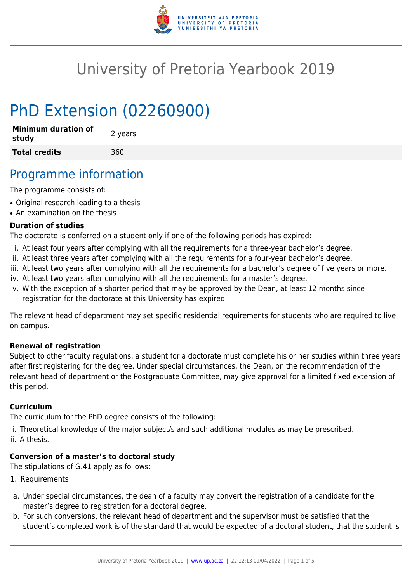

# University of Pretoria Yearbook 2019

# PhD Extension (02260900)

| <b>Minimum duration of</b><br>study | 2 years |
|-------------------------------------|---------|
| <b>Total credits</b>                | 360     |

## Programme information

The programme consists of:

- Original research leading to a thesis
- An examination on the thesis

#### **Duration of studies**

The doctorate is conferred on a student only if one of the following periods has expired:

- i. At least four years after complying with all the requirements for a three-year bachelor's degree.
- ii. At least three years after complying with all the requirements for a four-year bachelor's degree.
- iii. At least two years after complying with all the requirements for a bachelor's degree of five years or more.
- iv. At least two years after complying with all the requirements for a master's degree.
- v. With the exception of a shorter period that may be approved by the Dean, at least 12 months since registration for the doctorate at this University has expired.

The relevant head of department may set specific residential requirements for students who are required to live on campus.

#### **Renewal of registration**

Subject to other faculty regulations, a student for a doctorate must complete his or her studies within three years after first registering for the degree. Under special circumstances, the Dean, on the recommendation of the relevant head of department or the Postgraduate Committee, may give approval for a limited fixed extension of this period.

#### **Curriculum**

The curriculum for the PhD degree consists of the following:

- i. Theoretical knowledge of the major subject/s and such additional modules as may be prescribed.
- ii. A thesis.

### **Conversion of a master's to doctoral study**

The stipulations of G.41 apply as follows:

- 1. Requirements
- a. Under special circumstances, the dean of a faculty may convert the registration of a candidate for the master's degree to registration for a doctoral degree.
- b. For such conversions, the relevant head of department and the supervisor must be satisfied that the student's completed work is of the standard that would be expected of a doctoral student, that the student is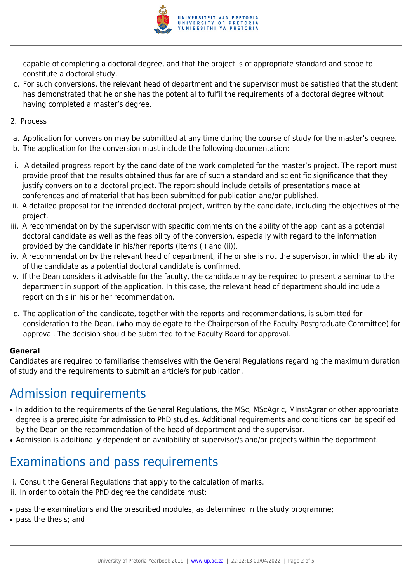

capable of completing a doctoral degree, and that the project is of appropriate standard and scope to constitute a doctoral study.

- c. For such conversions, the relevant head of department and the supervisor must be satisfied that the student has demonstrated that he or she has the potential to fulfil the requirements of a doctoral degree without having completed a master's degree.
- 2. Process
- a. Application for conversion may be submitted at any time during the course of study for the master's degree.
- b. The application for the conversion must include the following documentation:
- i. A detailed progress report by the candidate of the work completed for the master's project. The report must provide proof that the results obtained thus far are of such a standard and scientific significance that they justify conversion to a doctoral project. The report should include details of presentations made at conferences and of material that has been submitted for publication and/or published.
- ii. A detailed proposal for the intended doctoral project, written by the candidate, including the objectives of the project.
- iii. A recommendation by the supervisor with specific comments on the ability of the applicant as a potential doctoral candidate as well as the feasibility of the conversion, especially with regard to the information provided by the candidate in his/her reports (items (i) and (ii)).
- iv. A recommendation by the relevant head of department, if he or she is not the supervisor, in which the ability of the candidate as a potential doctoral candidate is confirmed.
- v. If the Dean considers it advisable for the faculty, the candidate may be required to present a seminar to the department in support of the application. In this case, the relevant head of department should include a report on this in his or her recommendation.
- c. The application of the candidate, together with the reports and recommendations, is submitted for consideration to the Dean, (who may delegate to the Chairperson of the Faculty Postgraduate Committee) for approval. The decision should be submitted to the Faculty Board for approval.

#### **General**

Candidates are required to familiarise themselves with the General Regulations regarding the maximum duration of study and the requirements to submit an article/s for publication.

## Admission requirements

- In addition to the requirements of the General Regulations, the MSc, MScAgric, MInstAgrar or other appropriate degree is a prerequisite for admission to PhD studies. Additional requirements and conditions can be specified by the Dean on the recommendation of the head of department and the supervisor.
- Admission is additionally dependent on availability of supervisor/s and/or projects within the department.

# Examinations and pass requirements

- i. Consult the General Regulations that apply to the calculation of marks.
- ii. In order to obtain the PhD degree the candidate must:
- pass the examinations and the prescribed modules, as determined in the study programme;
- pass the thesis; and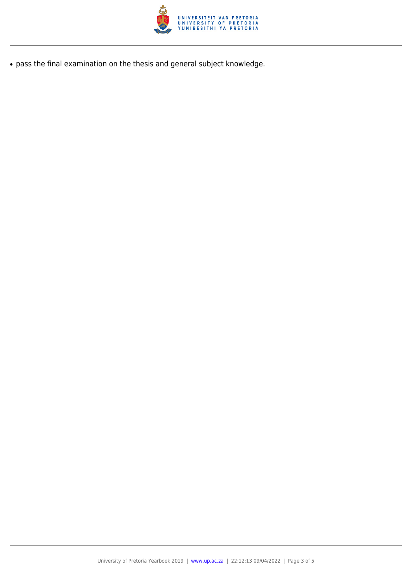

● pass the final examination on the thesis and general subject knowledge.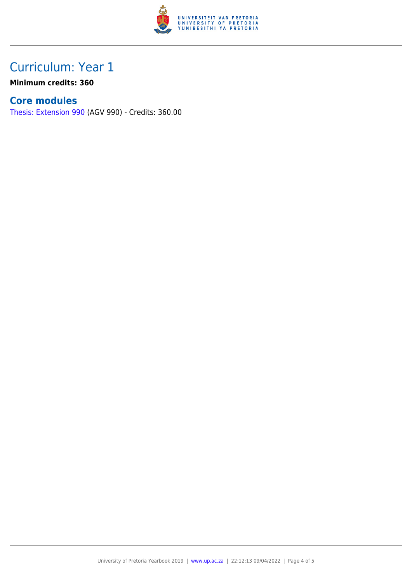

## Curriculum: Year 1

**Minimum credits: 360**

### **Core modules**

[Thesis: Extension 990](https://www.up.ac.za/faculty-of-education/yearbooks/2019/modules/view/AGV 990) (AGV 990) - Credits: 360.00